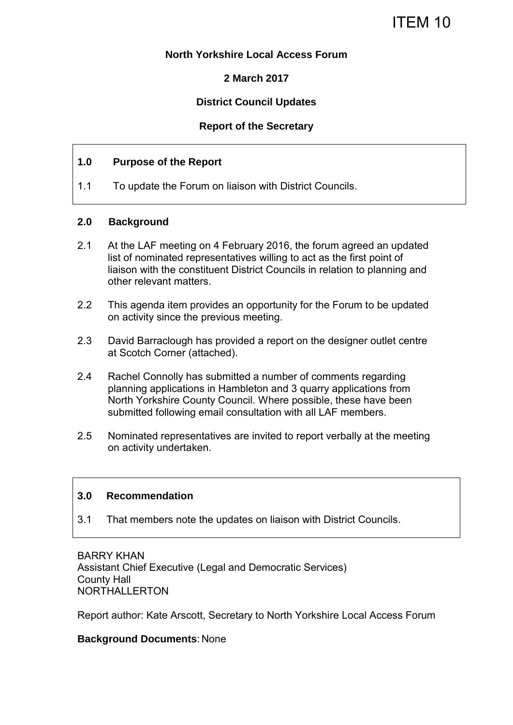## **North Yorkshire Local Access Forum**

# **2 March 2017**

# **District Council Updates**

## **Report of the Secretary**

### **1.0 Purpose of the Report**

1.1 To update the Forum on liaison with District Councils.

### **2.0 Background**

- 2.1 At the LAF meeting on 4 February 2016, the forum agreed an updated list of nominated representatives willing to act as the first point of liaison with the constituent District Councils in relation to planning and other relevant matters.
- 2.2 This agenda item provides an opportunity for the Forum to be updated on activity since the previous meeting.
- 2.3 David Barraclough has provided a report on the designer outlet centre at Scotch Corner (attached).
- 2.4 Rachel Connolly has submitted a number of comments regarding planning applications in Hambleton and 3 quarry applications from North Yorkshire County Council. Where possible, these have been submitted following email consultation with all LAF members.
- 2.5 Nominated representatives are invited to report verbally at the meeting on activity undertaken.

#### **3.0 Recommendation**

3.1 That members note the updates on liaison with District Councils.

BARRY KHAN Assistant Chief Executive (Legal and Democratic Services) County Hall NORTHALLERTON

Report author: Kate Arscott, Secretary to North Yorkshire Local Access Forum

#### **Background Documents**: None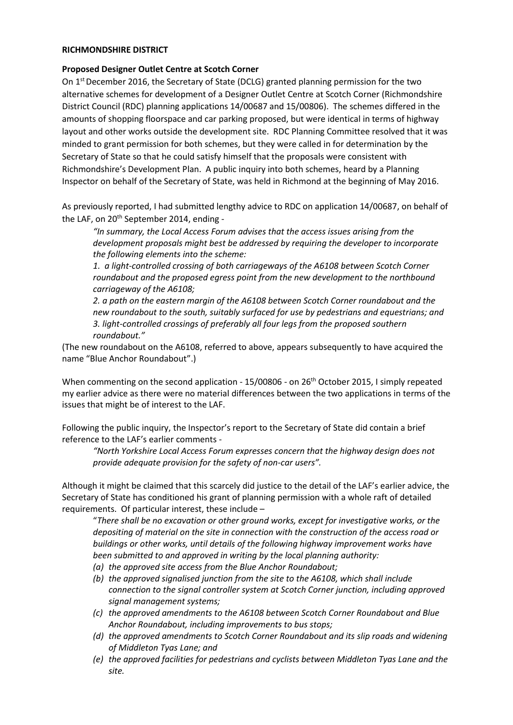#### **RICHMONDSHIRE DISTRICT**

#### **Proposed Designer Outlet Centre at Scotch Corner**

On  $1<sup>st</sup>$  December 2016, the Secretary of State (DCLG) granted planning permission for the two alternative schemes for development of a Designer Outlet Centre at Scotch Corner (Richmondshire District Council (RDC) planning applications 14/00687 and 15/00806). The schemes differed in the amounts of shopping floorspace and car parking proposed, but were identical in terms of highway layout and other works outside the development site. RDC Planning Committee resolved that it was minded to grant permission for both schemes, but they were called in for determination by the Secretary of State so that he could satisfy himself that the proposals were consistent with Richmondshire's Development Plan. A public inquiry into both schemes, heard by a Planning Inspector on behalf of the Secretary of State, was held in Richmond at the beginning of May 2016.

As previously reported, I had submitted lengthy advice to RDC on application 14/00687, on behalf of the LAF, on 20<sup>th</sup> September 2014, ending -

*"In summary, the Local Access Forum advises that the access issues arising from the development proposals might best be addressed by requiring the developer to incorporate the following elements into the scheme:* 

*1. a light-controlled crossing of both carriageways of the A6108 between Scotch Corner roundabout and the proposed egress point from the new development to the northbound carriageway of the A6108;* 

*2. a path on the eastern margin of the A6108 between Scotch Corner roundabout and the new roundabout to the south, suitably surfaced for use by pedestrians and equestrians; and 3. light-controlled crossings of preferably all four legs from the proposed southern roundabout."*

(The new roundabout on the A6108, referred to above, appears subsequently to have acquired the name "Blue Anchor Roundabout".)

When commenting on the second application - 15/00806 - on 26<sup>th</sup> October 2015, I simply repeated my earlier advice as there were no material differences between the two applications in terms of the issues that might be of interest to the LAF.

Following the public inquiry, the Inspector's report to the Secretary of State did contain a brief reference to the LAF's earlier comments -

*"North Yorkshire Local Access Forum expresses concern that the highway design does not provide adequate provision for the safety of non-car users".*

Although it might be claimed that this scarcely did justice to the detail of the LAF's earlier advice, the Secretary of State has conditioned his grant of planning permission with a whole raft of detailed requirements. Of particular interest, these include –

"*There shall be no excavation or other ground works, except for investigative works, or the depositing of material on the site in connection with the construction of the access road or buildings or other works, until details of the following highway improvement works have been submitted to and approved in writing by the local planning authority:* 

- *(a) the approved site access from the Blue Anchor Roundabout;*
- *(b) the approved signalised junction from the site to the A6108, which shall include connection to the signal controller system at Scotch Corner junction, including approved signal management systems;*
- *(c) the approved amendments to the A6108 between Scotch Corner Roundabout and Blue Anchor Roundabout, including improvements to bus stops;*
- *(d) the approved amendments to Scotch Corner Roundabout and its slip roads and widening of Middleton Tyas Lane; and*
- *(e) the approved facilities for pedestrians and cyclists between Middleton Tyas Lane and the site.*